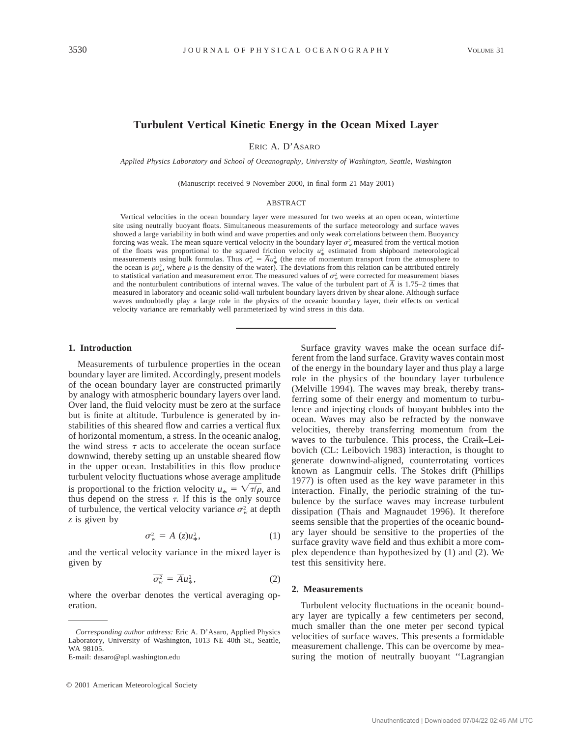# **Turbulent Vertical Kinetic Energy in the Ocean Mixed Layer**

ERIC A. D'ASARO

*Applied Physics Laboratory and School of Oceanography, University of Washington, Seattle, Washington*

(Manuscript received 9 November 2000, in final form 21 May 2001)

### ABSTRACT

Vertical velocities in the ocean boundary layer were measured for two weeks at an open ocean, wintertime site using neutrally buoyant floats. Simultaneous measurements of the surface meteorology and surface waves showed a large variability in both wind and wave properties and only weak correlations between them. Buoyancy forcing was weak. The mean square vertical velocity in the boundary layer  $\sigma_w^2$  measured from the vertical motion of the floats was proportional to the squared friction velocity  $u^2$  estimated from shipboard meteorological measurements using bulk formulas. Thus  $\sigma_w^2 = \overline{A} u_x^2$  (the rate of momentum transport from the atmosphere to the ocean is  $\rho u_x^2$ , where  $\rho$  is the density of the water). The deviations from this relation can be attributed entirely to statistical variation and measurement error. The measured values of  $\sigma_w^2$  were corrected for measurement biases s and the nonturbulent contributions of internal waves. The value of the turbulent part of  $\overline{A}$  is 1.75–2 times that measured in laboratory and oceanic solid-wall turbulent boundary layers driven by shear alone. Although surface waves undoubtedly play a large role in the physics of the oceanic boundary layer, their effects on vertical velocity variance are remarkably well parameterized by wind stress in this data.

## **1. Introduction**

Measurements of turbulence properties in the ocean boundary layer are limited. Accordingly, present models of the ocean boundary layer are constructed primarily by analogy with atmospheric boundary layers over land. Over land, the fluid velocity must be zero at the surface but is finite at altitude. Turbulence is generated by instabilities of this sheared flow and carries a vertical flux of horizontal momentum, a stress. In the oceanic analog, the wind stress  $\tau$  acts to accelerate the ocean surface downwind, thereby setting up an unstable sheared flow in the upper ocean. Instabilities in this flow produce turbulent velocity fluctuations whose average amplitude is proportional to the friction velocity  $u_* = \sqrt{\tau/\rho}$ , and thus depend on the stress  $\tau$ . If this is the only source of turbulence, the vertical velocity variance  $\sigma_w^2$  at depth *z* is given by

$$
\sigma_w^2 = A(z)u_*^2,\tag{1}
$$

and the vertical velocity variance in the mixed layer is given by

$$
\overline{\sigma_w^2} = \overline{A} u_\ast^2, \tag{2}
$$

where the overbar denotes the vertical averaging operation.

Surface gravity waves make the ocean surface different from the land surface. Gravity waves contain most of the energy in the boundary layer and thus play a large role in the physics of the boundary layer turbulence (Melville 1994). The waves may break, thereby transferring some of their energy and momentum to turbulence and injecting clouds of buoyant bubbles into the ocean. Waves may also be refracted by the nonwave velocities, thereby transferring momentum from the waves to the turbulence. This process, the Craik–Leibovich (CL: Leibovich 1983) interaction, is thought to generate downwind-aligned, counterrotating vortices known as Langmuir cells. The Stokes drift (Phillips 1977) is often used as the key wave parameter in this interaction. Finally, the periodic straining of the turbulence by the surface waves may increase turbulent dissipation (Thais and Magnaudet 1996). It therefore seems sensible that the properties of the oceanic boundary layer should be sensitive to the properties of the surface gravity wave field and thus exhibit a more complex dependence than hypothesized by (1) and (2). We test this sensitivity here.

### **2. Measurements**

Turbulent velocity fluctuations in the oceanic boundary layer are typically a few centimeters per second, much smaller than the one meter per second typical velocities of surface waves. This presents a formidable measurement challenge. This can be overcome by measuring the motion of neutrally buoyant ''Lagrangian

*Corresponding author address:* Eric A. D'Asaro, Applied Physics Laboratory, University of Washington, 1013 NE 40th St., Seattle, WA 98105.

E-mail: dasaro@apl.washington.edu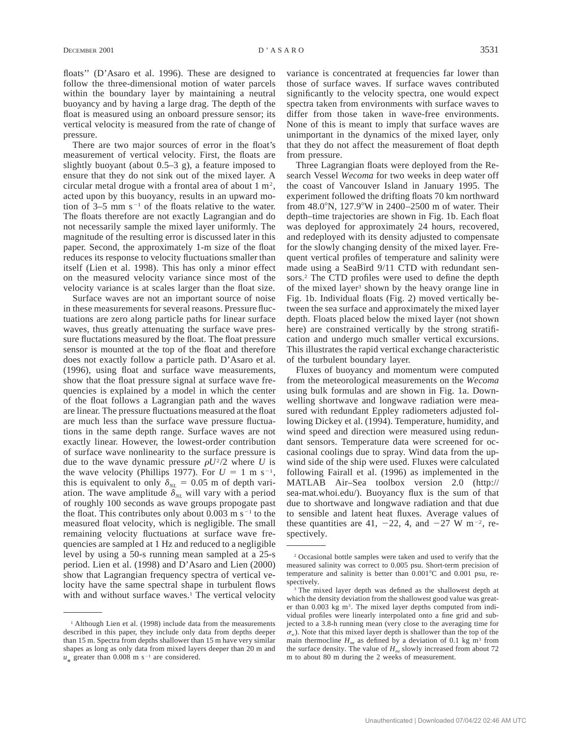floats'' (D'Asaro et al. 1996). These are designed to follow the three-dimensional motion of water parcels within the boundary layer by maintaining a neutral buoyancy and by having a large drag. The depth of the float is measured using an onboard pressure sensor; its vertical velocity is measured from the rate of change of pressure.

There are two major sources of error in the float's measurement of vertical velocity. First, the floats are slightly buoyant (about 0.5–3 g), a feature imposed to ensure that they do not sink out of the mixed layer. A circular metal drogue with a frontal area of about  $1 \text{ m}^2$ , acted upon by this buoyancy, results in an upward motion of  $3-5$  mm s<sup>-1</sup> of the floats relative to the water. The floats therefore are not exactly Lagrangian and do not necessarily sample the mixed layer uniformly. The magnitude of the resulting error is discussed later in this paper. Second, the approximately 1-m size of the float reduces its response to velocity fluctuations smaller than itself (Lien et al. 1998). This has only a minor effect on the measured velocity variance since most of the velocity variance is at scales larger than the float size.

Surface waves are not an important source of noise in these measurements for several reasons. Pressure fluctuations are zero along particle paths for linear surface waves, thus greatly attenuating the surface wave pressure fluctations measured by the float. The float pressure sensor is mounted at the top of the float and therefore does not exactly follow a particle path. D'Asaro et al. (1996), using float and surface wave measurements, show that the float pressure signal at surface wave frequencies is explained by a model in which the center of the float follows a Lagrangian path and the waves are linear. The pressure fluctuations measured at the float are much less than the surface wave pressure fluctuations in the same depth range. Surface waves are not exactly linear. However, the lowest-order contribution of surface wave nonlinearity to the surface pressure is due to the wave dynamic pressure  $\rho U^2/2$  where *U* is the wave velocity (Phillips 1977). For  $U = 1$  m s<sup>-1</sup>, this is equivalent to only  $\delta_{NL} = 0.05$  m of depth variation. The wave amplitude  $\delta_{NL}$  will vary with a period of roughly 100 seconds as wave groups propogate past the float. This contributes only about  $0.003$  m s<sup>-1</sup> to the measured float velocity, which is negligible. The small remaining velocity fluctuations at surface wave frequencies are sampled at 1 Hz and reduced to a negligible level by using a 50-s running mean sampled at a 25-s period. Lien et al. (1998) and D'Asaro and Lien (2000) show that Lagrangian frequency spectra of vertical velocity have the same spectral shape in turbulent flows with and without surface waves.<sup>1</sup> The vertical velocity

variance is concentrated at frequencies far lower than those of surface waves. If surface waves contributed significantly to the velocity spectra, one would expect spectra taken from environments with surface waves to differ from those taken in wave-free environments. None of this is meant to imply that surface waves are unimportant in the dynamics of the mixed layer, only that they do not affect the measurement of float depth from pressure.

Three Lagrangian floats were deployed from the Research Vessel *Wecoma* for two weeks in deep water off the coast of Vancouver Island in January 1995. The experiment followed the drifting floats 70 km northward from  $48.0^{\circ}$ N,  $127.9^{\circ}$ W in 2400–2500 m of water. Their depth–time trajectories are shown in Fig. 1b. Each float was deployed for approximately 24 hours, recovered, and redeployed with its density adjusted to compensate for the slowly changing density of the mixed layer. Frequent vertical profiles of temperature and salinity were made using a SeaBird 9/11 CTD with redundant sensors.2 The CTD profiles were used to define the depth of the mixed layer<sup>3</sup> shown by the heavy orange line in Fig. 1b. Individual floats (Fig. 2) moved vertically between the sea surface and approximately the mixed layer depth. Floats placed below the mixed layer (not shown here) are constrained vertically by the strong stratification and undergo much smaller vertical excursions. This illustrates the rapid vertical exchange characteristic of the turbulent boundary layer.

Fluxes of buoyancy and momentum were computed from the meteorological measurements on the *Wecoma* using bulk formulas and are shown in Fig. 1a. Downwelling shortwave and longwave radiation were measured with redundant Eppley radiometers adjusted following Dickey et al. (1994). Temperature, humidity, and wind speed and direction were measured using redundant sensors. Temperature data were screened for occasional coolings due to spray. Wind data from the upwind side of the ship were used. Fluxes were calculated following Fairall et al. (1996) as implemented in the MATLAB Air–Sea toolbox version 2.0 (http:// sea-mat.whoi.edu/). Buoyancy flux is the sum of that due to shortwave and longwave radiation and that due to sensible and latent heat fluxes. Average values of these quantities are 41,  $-22$ , 4, and  $-27$  W m<sup>-2</sup>, respectively.

<sup>&</sup>lt;sup>1</sup> Although Lien et al. (1998) include data from the measurements described in this paper, they include only data from depths deeper than 15 m. Spectra from depths shallower than 15 m have very similar shapes as long as only data from mixed layers deeper than 20 m and  $u_*$  greater than 0.008 m s<sup>-1</sup> are considered.

<sup>2</sup> Occasional bottle samples were taken and used to verify that the measured salinity was correct to 0.005 psu. Short-term precision of temperature and salinity is better than  $0.001^{\circ}$ C and  $0.001$  psu, respectively.

<sup>&</sup>lt;sup>3</sup> The mixed layer depth was defined as the shallowest depth at which the density deviation from the shallowest good value was greater than  $0.003$  kg m<sup>3</sup>. The mixed layer depths computed from individual profiles were linearly interpolated onto a fine grid and subjected to a 3.8-h running mean (very close to the averaging time for  $\sigma_{\rm w}$ ). Note that this mixed layer depth is shallower than the top of the main thermocline  $H_{mt}$  as defined by a deviation of 0.1 kg m<sup>3</sup> from the surface density. The value of  $H_{mt}$  slowly increased from about 72 m to about 80 m during the 2 weeks of measurement.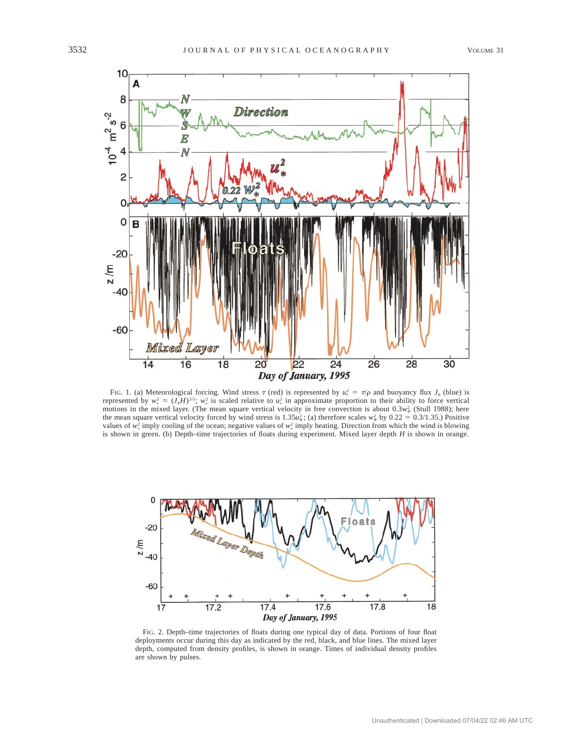

FIG. 1. (a) Meteorological forcing. Wind stress  $\tau$  (red) is represented by  $u_*^2 = \tau/\rho$  and buoyancy flux  $J_b$  (blue) is represented by  $w_*^2 = (J_b H)^{2/3}$ ;  $w_*^2$  is scaled relative to  $u_*^2$  in approximate proportion to their ability to force vertical motions in the mixed layer. (The mean square vertical velocity in free convection is about  $0.3w_*^2$  (Stull 1988); here *motions* in the mixed layer. (The mean square vertical velocity in free convection is about  $0.3w_*^2$ the mean square vertical velocity forced by wind stress is  $1.35u_x^2$ ; (a) therefore scales  $w_x^2$  by 0.22 = 0.3/1.35.) Positive values of  $w_*^2$  imply cooling of the ocean; negative values of  $w_*^2$  imply heating. Direction from which the wind is blowing is shown in green. (b) Depth–time trajectories of floats during experiment. Mixed layer depth *H* is shown in orange.



FIG. 2. Depth–time trajectories of floats during one typical day of data. Portions of four float deployments occur during this day as indicated by the red, black, and blue lines. The mixed layer depth, computed from density profiles, is shown in orange. Times of individual density profiles are shown by pulses.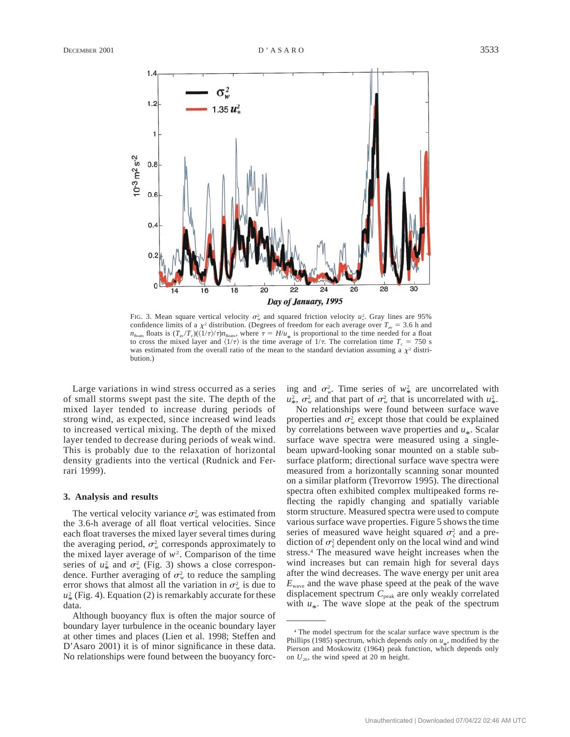

FIG. 3. Mean square vertical velocity  $\sigma_w^2$  and squared friction velocity  $u_*^2$ . Gray lines are 95% confidence limits of a  $\chi^2$  distribution. (Degrees of freedom for each average over  $T_{av} = 3.6$  h and  $n_{\text{float}}$  floats is  $(T_{\text{av}}/T_c)(\langle 1/\tau \rangle/\tau)n_{\text{float}}$ , where  $\tau = H/u_*$  is proportional to the time needed for a float to cross the mixed layer and  $\langle 1/\tau \rangle$  is the time average of  $1/\tau$ . The correlation time  $T_c = 750$  s was estimated from the overall ratio of the mean to the standard deviation assuming a  $\chi^2$  distribution.)

Large variations in wind stress occurred as a series of small storms swept past the site. The depth of the mixed layer tended to increase during periods of strong wind, as expected, since increased wind leads to increased vertical mixing. The depth of the mixed layer tended to decrease during periods of weak wind. This is probably due to the relaxation of horizontal density gradients into the vertical (Rudnick and Ferrari 1999).

### **3. Analysis and results**

The vertical velocity variance  $\sigma_w^2$  was estimated from the 3.6-h average of all float vertical velocities. Since each float traverses the mixed layer several times during the averaging period,  $\sigma_w^2$  corresponds approximately to the mixed layer average of  $w^2$ . Comparison of the time series of  $u^2$  and  $\sigma^2_w$  (Fig. 3) shows a close correspon-<br>dence. Further averaging of  $\sigma^2_w$  to reduce the sampling error shows that almost all the variation in  $\sigma_w^2$  is due to  $u^2_*$  (Fig. 4). Equation (2) is remarkably accurate for these data.

Although buoyancy flux is often the major source of boundary layer turbulence in the oceanic boundary layer at other times and places (Lien et al. 1998; Steffen and D'Asaro 2001) it is of minor significance in these data. No relationships were found between the buoyancy forcing and  $\sigma_w^2$ . Time series of  $w_*^2$  are uncorrelated with  $w^2_*$ ,  $\sigma^2_w$  and that part of  $\sigma^2_w$  that is uncorrelated with  $u^2_w$ .<br>No relationships were found between surface wave

properties and  $\sigma_w^2$  except those that could be explained by correlations between wave properties and  $u_*$ . Scalar surface wave spectra were measured using a singlebeam upward-looking sonar mounted on a stable subsurface platform; directional surface wave spectra were measured from a horizontally scanning sonar mounted on a similar platform (Trevorrow 1995). The directional spectra often exhibited complex multipeaked forms reflecting the rapidly changing and spatially variable storm structure. Measured spectra were used to compute various surface wave properties. Figure 5 shows the time series of measured wave height squared  $\sigma_{\zeta}^2$  and a prediction of  $\sigma_{\zeta}^2$  dependent only on the local wind and wind stress.4 The measured wave height increases when the wind increases but can remain high for several days after the wind decreases. The wave energy per unit area *E*wave and the wave phase speed at the peak of the wave displacement spectrum  $C_{\text{peak}}$  are only weakly correlated with  $u_*$ . The wave slope at the peak of the spectrum

<sup>4</sup> The model spectrum for the scalar surface wave spectrum is the Phillips (1985) spectrum, which depends only on  $u_*$ , modified by the Finally  $(1985)$  spectrum, which depends only on  $u_*$ , modified by the Pierson and Moskowitz (1964) peak function, which depends only on  $U_{20}$ , the wind speed at 20 m height.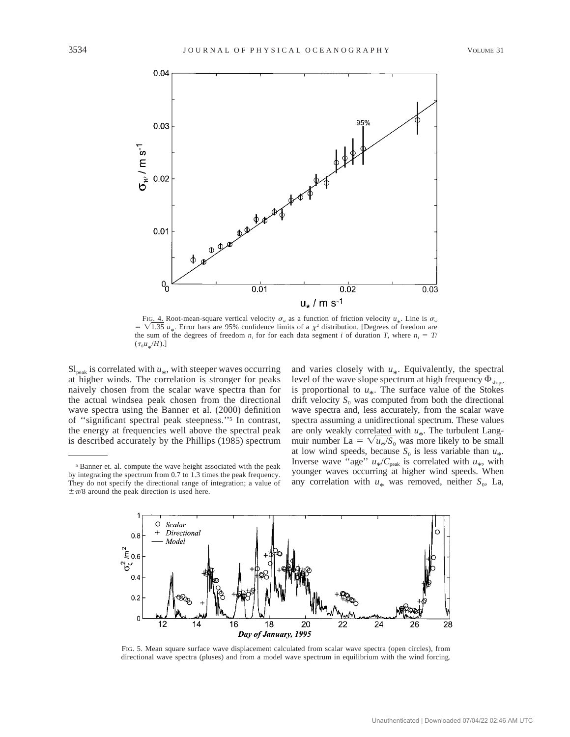

FIG. 4. Root-mean-square vertical velocity  $\sigma_w$  as a function of friction velocity  $u_*$ . Line is  $\sigma_w$  $= \sqrt{1.35} u_*$ . Error bars are 95% confidence limits of a  $\chi^2$  distribution. [Degrees of freedom are the sum of the degrees of freedom  $n_i$  for for each data segment *i* of duration *T*, where  $n_i = T/$  $(\tau_0 u_*/H)$ .]

 $Sl_{\text{peak}}$  is correlated with  $u_*$ , with steeper waves occurring at higher winds. The correlation is stronger for peaks naively chosen from the scalar wave spectra than for the actual windsea peak chosen from the directional wave spectra using the Banner et al. (2000) definition of ''significant spectral peak steepness.''5 In contrast, the energy at frequencies well above the spectral peak is described accurately by the Phillips (1985) spectrum

<sup>5</sup> Banner et. al. compute the wave height associated with the peak by integrating the spectrum from 0.7 to 1.3 times the peak frequency. They do not specify the directional range of integration; a value of  $\pm \pi/8$  around the peak direction is used here.

and varies closely with  $u_*$ . Equivalently, the spectral level of the wave slope spectrum at high frequency  $\Phi_{\text{slope}}$ is proportional to  $u_*$ . The surface value of the Stokes drift velocity  $S_0$  was computed from both the directional wave spectra and, less accurately, from the scalar wave spectra assuming a unidirectional spectrum. These values are only weakly correlated with *u* . The turbulent Langmuir number La =  $\sqrt{u_*}/S_0$  was more likely to be small muir number La =  $\sqrt{u_*}/S_0$  was more likely to be small at low wind speeds, because  $S_0$  is less variable than  $u_*$ . Inverse wave "age"  $u_{*}/C_{\text{peak}}$  is correlated with  $u_{*}$ , with younger waves occurring at higher wind speeds. When any correlation with  $u_*$  was removed, neither  $S_0$ , La,



FIG. 5. Mean square surface wave displacement calculated from scalar wave spectra (open circles), from directional wave spectra (pluses) and from a model wave spectrum in equilibrium with the wind forcing.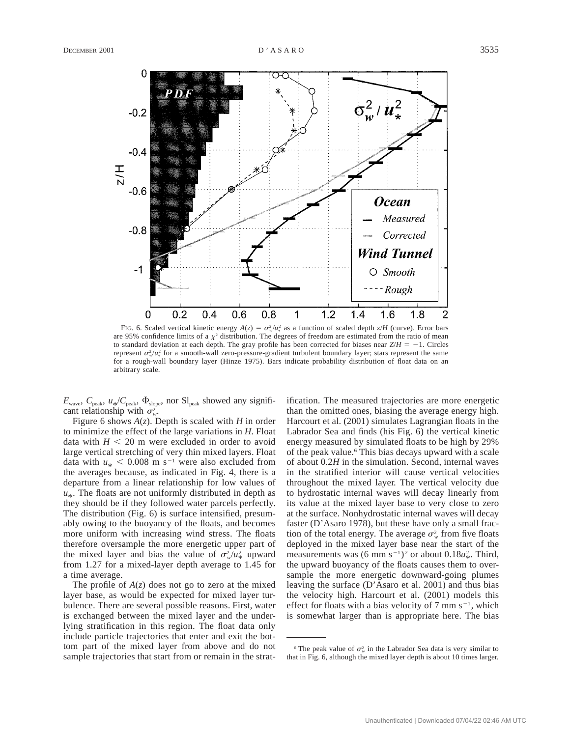

FIG. 6. Scaled vertical kinetic energy  $A(z) = \sigma_w^2 / u_*^2$  as a function of scaled depth  $z/H$  (curve). Error bars are 95% confidence limits of a  $\chi^2$  distribution. The degrees of freedom are estimated from the ratio of mean to standard deviation at each depth. The gray profile has been corrected for biases near  $Z/H = -1$ . Circles represent  $\sigma_w^2/u_*^2$  for a smooth-wall zero-pressure-gradient turbulent boundary layer; stars represent the same for a rough-wall boundary layer (Hinze 1975). Bars indicate probability distribution of float data on an arbitrary scale.

 $E_{\text{wave}}$ ,  $C_{\text{peak}}$ ,  $u_{*}/C_{\text{peak}}$ ,  $\Phi_{\text{slope}}$ , nor Sl<sub>peak</sub> showed any significant relationship with  $\sigma_w^2$ .

Figure 6 shows *A*(*z*). Depth is scaled with *H* in order to minimize the effect of the large variations in *H.* Float data with  $H < 20$  m were excluded in order to avoid large vertical stretching of very thin mixed layers. Float data with  $u_* < 0.008$  m s<sup>-1</sup> were also excluded from the averages because, as indicated in Fig. 4, there is a departure from a linear relationship for low values of  $u_*$ . The floats are not uniformly distributed in depth as they should be if they followed water parcels perfectly. The distribution (Fig. 6) is surface intensified, presumably owing to the buoyancy of the floats, and becomes more uniform with increasing wind stress. The floats therefore oversample the more energetic upper part of the mixed layer and bias the value of  $\sigma_{\nu}^2 / u_{\nu}^2$  upward from 1.27 for a mixed-layer depth average to 1.45 for a time average.

The profile of  $A(z)$  does not go to zero at the mixed layer base, as would be expected for mixed layer turbulence. There are several possible reasons. First, water is exchanged between the mixed layer and the underlying stratification in this region. The float data only include particle trajectories that enter and exit the bottom part of the mixed layer from above and do not sample trajectories that start from or remain in the stratification. The measured trajectories are more energetic than the omitted ones, biasing the average energy high. Harcourt et al. (2001) simulates Lagrangian floats in the Labrador Sea and finds (his Fig. 6) the vertical kinetic energy measured by simulated floats to be high by 29% of the peak value.<sup>6</sup> This bias decays upward with a scale of about 0.2*H* in the simulation. Second, internal waves in the stratified interior will cause vertical velocities throughout the mixed layer. The vertical velocity due to hydrostatic internal waves will decay linearly from its value at the mixed layer base to very close to zero at the surface. Nonhydrostatic internal waves will decay faster (D'Asaro 1978), but these have only a small fraction of the total energy. The average  $\sigma_w^2$  from five floats deployed in the mixed layer base near the start of the measurements was  $(6 \text{ mm s}^{-1})^2$  or about  $0.18 u_*^2$ . Third, the upward buoyancy of the floats causes them to oversample the more energetic downward-going plumes leaving the surface (D'Asaro et al. 2001) and thus bias the velocity high. Harcourt et al. (2001) models this effect for floats with a bias velocity of 7 mm  $s^{-1}$ , which is somewhat larger than is appropriate here. The bias

<sup>&</sup>lt;sup>6</sup> The peak value of  $\sigma_w^2$  in the Labrador Sea data is very similar to that in Fig. 6, although the mixed layer depth is about 10 times larger.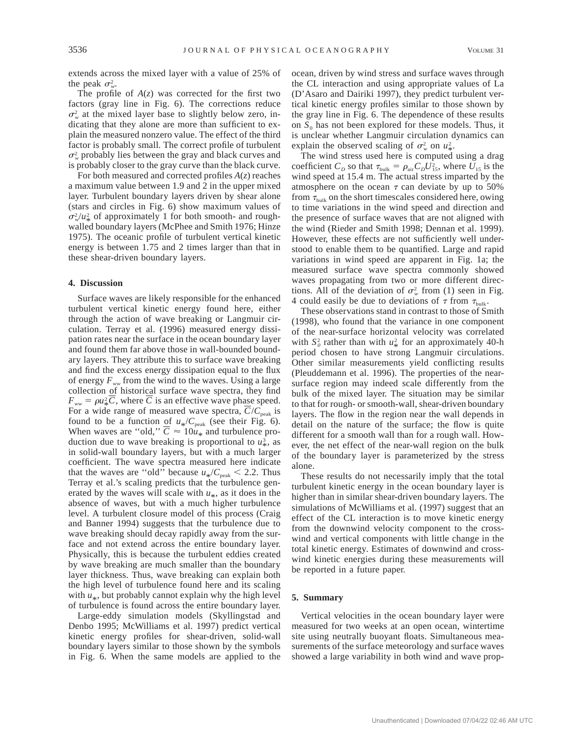extends across the mixed layer with a value of 25% of the peak  $\sigma_w^2$ .

The profile of  $A(z)$  was corrected for the first two factors (gray line in Fig. 6). The corrections reduce  $\sigma_w^2$  at the mixed layer base to slightly below zero, indicating that they alone are more than sufficient to explain the measured nonzero value. The effect of the third factor is probably small. The correct profile of turbulent  $\sigma_w^2$  probably lies between the gray and black curves and is probably closer to the gray curve than the black curve.

For both measured and corrected profiles *A*(*z*) reaches a maximum value between 1.9 and 2 in the upper mixed layer. Turbulent boundary layers driven by shear alone (stars and circles in Fig. 6) show maximum values of  $\sigma_v^2/u_*^2$  of approximately 1 for both smooth- and roughwalled boundary layers (McPhee and Smith 1976; Hinze 1975). The oceanic profile of turbulent vertical kinetic energy is between 1.75 and 2 times larger than that in these shear-driven boundary layers.

### **4. Discussion**

Surface waves are likely responsible for the enhanced turbulent vertical kinetic energy found here, either through the action of wave breaking or Langmuir circulation. Terray et al. (1996) measured energy dissipation rates near the surface in the ocean boundary layer and found them far above those in wall-bounded boundary layers. They attribute this to surface wave breaking and find the excess energy dissipation equal to the flux of energy  $F_{ww}$  from the wind to the waves. Using a large collection of historical surface wave spectra, they find  $F_{ww} = \rho u_{\frac{2}{3}} \overline{C}$ , where  $\overline{C}$  is an effective wave phase speed. For a wide range of measured wave spectra,  $\overline{C}/C_{\text{peak}}$  is found to be a function of  $u_*/C_{\text{peak}}$  (see their Fig. 6). When waves are "old,"  $\overline{C} \approx 10u_*$  and turbulence production due to wave breaking is proportional to  $u_*^3$ , as in solid-wall boundary layers, but with a much larger coefficient. The wave spectra measured here indicate that the waves are "old" because  $u_*/C_{\text{peak}} < 2.2$ . Thus Terray et al.'s scaling predicts that the turbulence generated by the waves will scale with  $u_*$ , as it does in the absence of waves, but with a much higher turbulence level. A turbulent closure model of this process (Craig and Banner 1994) suggests that the turbulence due to wave breaking should decay rapidly away from the surface and not extend across the entire boundary layer. Physically, this is because the turbulent eddies created by wave breaking are much smaller than the boundary layer thickness. Thus, wave breaking can explain both the high level of turbulence found here and its scaling with  $u_*$ , but probably cannot explain why the high level of turbulence is found across the entire boundary layer.

Large-eddy simulation models (Skyllingstad and Denbo 1995; McWilliams et al. 1997) predict vertical kinetic energy profiles for shear-driven, solid-wall boundary layers similar to those shown by the symbols in Fig. 6. When the same models are applied to the

ocean, driven by wind stress and surface waves through the CL interaction and using appropriate values of La (D'Asaro and Dairiki 1997), they predict turbulent vertical kinetic energy profiles similar to those shown by the gray line in Fig. 6. The dependence of these results on  $S_0$  has not been explored for these models. Thus, it is unclear whether Langmuir circulation dynamics can explain the observed scaling of  $\sigma_w^2$  on  $u_{\ast}^2$ .

The wind stress used here is computed using a drag coefficient  $C_D$  so that  $\tau_{\text{bulk}} = \rho_{\text{air}} C_D U_{15}^2$ , where  $U_{15}$  is the wind speed at 15.4 m. The actual stress imparted by the atmosphere on the ocean  $\tau$  can deviate by up to 50% from  $\tau_{\text{bulk}}$  on the short timescales considered here, owing to time variations in the wind speed and direction and the presence of surface waves that are not aligned with the wind (Rieder and Smith 1998; Dennan et al. 1999). However, these effects are not sufficiently well understood to enable them to be quantified. Large and rapid variations in wind speed are apparent in Fig. 1a; the measured surface wave spectra commonly showed waves propagating from two or more different directions. All of the deviation of  $\sigma_w^2$  from (1) seen in Fig. 4 could easily be due to deviations of  $\tau$  from  $\tau_{\text{bulk}}$ .

These observations stand in contrast to those of Smith (1998), who found that the variance in one component of the near-surface horizontal velocity was correlated with  $S_0^2$  rather than with  $u^2$  for an approximately 40-h period chosen to have strong Langmuir circulations. Other similar measurements yield conflicting results (Pleuddemann et al. 1996). The properties of the nearsurface region may indeed scale differently from the bulk of the mixed layer. The situation may be similar to that for rough- or smooth-wall, shear-driven boundary layers. The flow in the region near the wall depends in detail on the nature of the surface; the flow is quite different for a smooth wall than for a rough wall. However, the net effect of the near-wall region on the bulk of the boundary layer is parameterized by the stress alone.

These results do not necessarily imply that the total turbulent kinetic energy in the ocean boundary layer is higher than in similar shear-driven boundary layers. The simulations of McWilliams et al. (1997) suggest that an effect of the CL interaction is to move kinetic energy from the downwind velocity component to the crosswind and vertical components with little change in the total kinetic energy. Estimates of downwind and crosswind kinetic energies during these measurements will be reported in a future paper.

## **5. Summary**

Vertical velocities in the ocean boundary layer were measured for two weeks at an open ocean, wintertime site using neutrally buoyant floats. Simultaneous measurements of the surface meteorology and surface waves showed a large variability in both wind and wave prop-